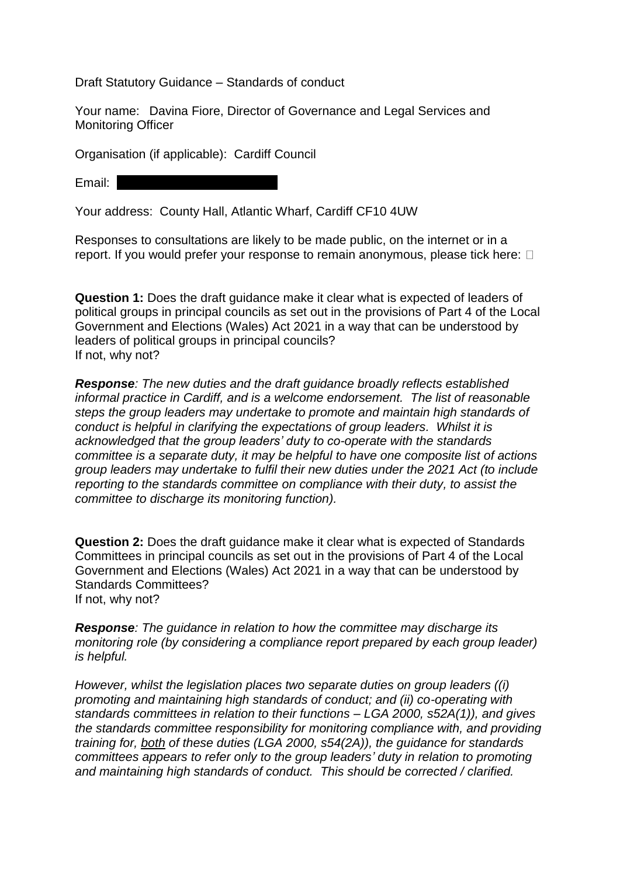Draft Statutory Guidance – Standards of conduct

Your name: Davina Fiore, Director of Governance and Legal Services and Monitoring Officer

Organisation (if applicable): Cardiff Council

Email:

Your address: County Hall, Atlantic Wharf, Cardiff CF10 4UW

Responses to consultations are likely to be made public, on the internet or in a report. If you would prefer your response to remain anonymous, please tick here:  $\Box$ 

**Question 1:** Does the draft guidance make it clear what is expected of leaders of political groups in principal councils as set out in the provisions of Part 4 of the Local Government and Elections (Wales) Act 2021 in a way that can be understood by leaders of political groups in principal councils? If not, why not?

*Response: The new duties and the draft guidance broadly reflects established informal practice in Cardiff, and is a welcome endorsement. The list of reasonable steps the group leaders may undertake to promote and maintain high standards of conduct is helpful in clarifying the expectations of group leaders. Whilst it is acknowledged that the group leaders' duty to co-operate with the standards committee is a separate duty, it may be helpful to have one composite list of actions group leaders may undertake to fulfil their new duties under the 2021 Act (to include reporting to the standards committee on compliance with their duty, to assist the committee to discharge its monitoring function).*

**Question 2:** Does the draft guidance make it clear what is expected of Standards Committees in principal councils as set out in the provisions of Part 4 of the Local Government and Elections (Wales) Act 2021 in a way that can be understood by Standards Committees? If not, why not?

*Response: The guidance in relation to how the committee may discharge its monitoring role (by considering a compliance report prepared by each group leader) is helpful.* 

*However, whilst the legislation places two separate duties on group leaders ((i) promoting and maintaining high standards of conduct; and (ii) co-operating with standards committees in relation to their functions – LGA 2000, s52A(1)), and gives the standards committee responsibility for monitoring compliance with, and providing training for, both of these duties (LGA 2000, s54(2A)), the guidance for standards committees appears to refer only to the group leaders' duty in relation to promoting and maintaining high standards of conduct. This should be corrected / clarified.*